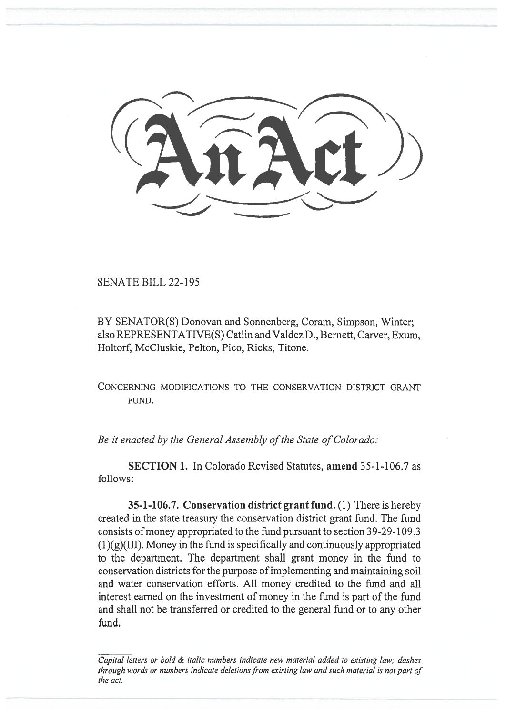,  $\frac{1}{2}$  $\overbrace{\phantom{aaaa}}$ 

SENATE BILL 22-195

BY SENATOR(S) Donovan and Sonnenberg, Coram, Simpson, Winter; also REPRESENTATIVE(S) Catlin and Valdez D., Bernett, Carver, Exum, Holtorf, McCluskie, Pelton, Pico, Ricks, Titone.

CONCERNING MODIFICATIONS TO THE CONSERVATION DISTRICT GRANT FUND.

Be it enacted by the General Assembly of the State of Colorado:

SECTION 1. In Colorado Revised Statutes, amend 35-1-106.7 as follows:

35-1-106.7. Conservation district grant fund. (1) There is hereby created in the state treasury the conservation district grant fund. The fund consists of money appropriated to the fund pursuant to section 39-29-109.3  $(1)(g)(III)$ . Money in the fund is specifically and continuously appropriated to the department. The department shall grant money in the fund to conservation districts for the purpose of implementing and maintaining soil and water conservation efforts. All money credited to the fund and all interest earned on the investment of money in the fund is part of the fund and shall not be transferred or credited to the general fund or to any other fund.

Capital letters or bold & italic numbers indicate new material added to existing law; dashes through words or numbers indicate deletions from existing law and such material is not part of the act.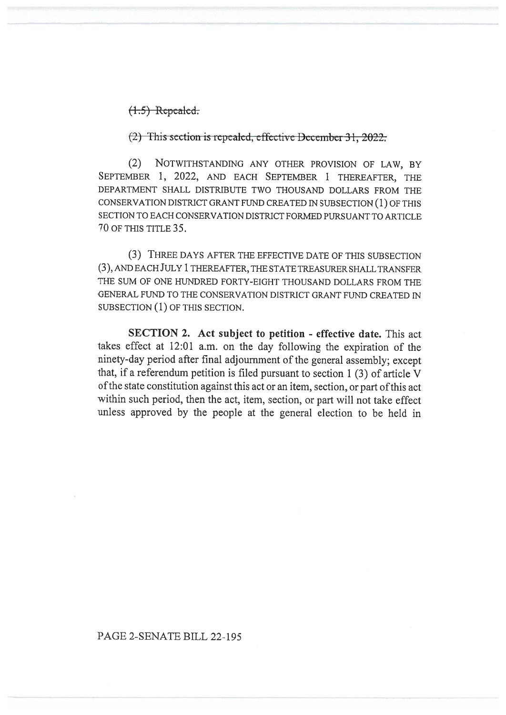$(1.5)$  Repealed:

 $(2)$  This section is repealed, effective December 31, 2022.

(2) NOTWITHSTANDING ANY OTHER PROVISION OF LAW, BY SEPTEMBER 1, 2022, AND EACH SEPTEMBER 1 THEREAFTER, THE DEPARTMENT SHALL DISTRIBUTE TWO THOUSAND DOLLARS FROM THE CONSERVATION DISTRICT GRANT FUND CREATED IN SUBSECTION (1) OF THIS SECTION TO EACH CONSERVATION DISTRICT FORMED PURSUANT TO ARTICLE 70 OF THIS TITLE 35.

(3) THREE DAYS AFTER THE EFFECTIVE DATE OF THIS SUBSECTION (3), AND EACH JULY 1 THEREAFTER, THE STATE TREASURER SHALL TRANSFER THE SUM OF ONE HUNDRED FORTY-EIGHT THOUSAND DOLLARS FROM THE GENERAL FUND TO THE CONSERVATION DISTRICT GRANT FUND CREATED IN SUBSECTION (1) OF THIS SECTION.

SECTION 2. Act subject to petition - effective date. This act takes effect at 12:01 a.m. on the day following the expiration of the ninety-day period after final adjournment of the general assembly; except that, if a referendum petition is filed pursuant to section 1 (3) of article V of the state constitution against this act or an item, section, or part of this act within such period, then the act, item, section, or part will not take effect unless approved by the people at the general election to be held in

## PAGE 2-SENATE BILL 22-195